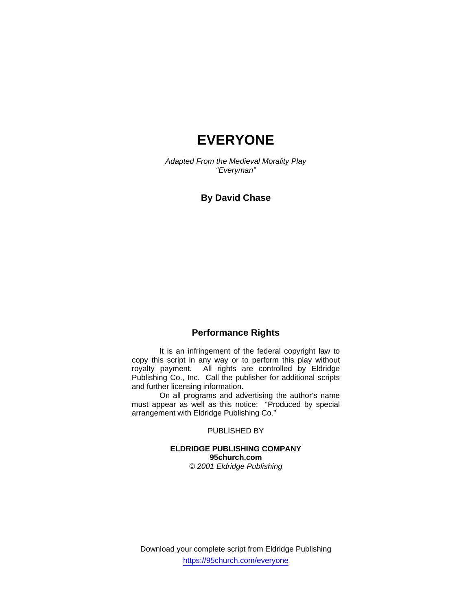# **EVERYONE**

*Adapted From the Medieval Morality Play "Everyman"* 

# **By David Chase**

# **Performance Rights**

 It is an infringement of the federal copyright law to copy this script in any way or to perform this play without royalty payment. All rights are controlled by Eldridge Publishing Co., Inc. Call the publisher for additional scripts and further licensing information.

 On all programs and advertising the author's name must appear as well as this notice: "Produced by special arrangement with Eldridge Publishing Co."

PUBLISHED BY

# **ELDRIDGE PUBLISHING COMPANY 95church.com**  *© 2001 Eldridge Publishing*

Download your complete script from Eldridge Publishing https://95church.com/everyone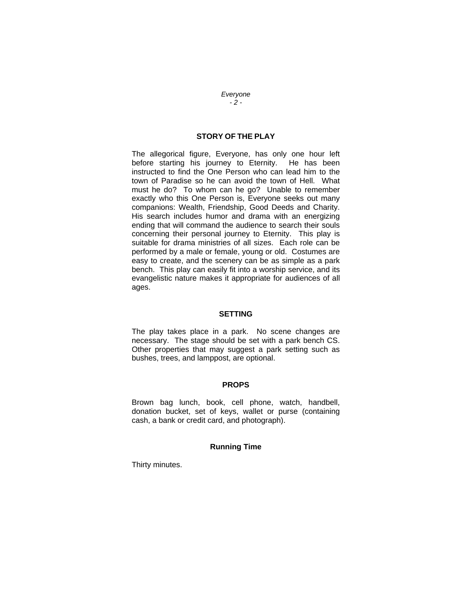*Everyone - 2 -* 

# **STORY OF THE PLAY**

The allegorical figure, Everyone, has only one hour left before starting his journey to Eternity. He has been instructed to find the One Person who can lead him to the town of Paradise so he can avoid the town of Hell. What must he do? To whom can he go? Unable to remember exactly who this One Person is, Everyone seeks out many companions: Wealth, Friendship, Good Deeds and Charity. His search includes humor and drama with an energizing ending that will command the audience to search their souls concerning their personal journey to Eternity. This play is suitable for drama ministries of all sizes. Each role can be performed by a male or female, young or old. Costumes are easy to create, and the scenery can be as simple as a park bench. This play can easily fit into a worship service, and its evangelistic nature makes it appropriate for audiences of all ages.

### **SETTING**

The play takes place in a park. No scene changes are necessary. The stage should be set with a park bench CS. Other properties that may suggest a park setting such as bushes, trees, and lamppost, are optional.

#### **PROPS**

Brown bag lunch, book, cell phone, watch, handbell, donation bucket, set of keys, wallet or purse (containing cash, a bank or credit card, and photograph).

# **Running Time**

Thirty minutes.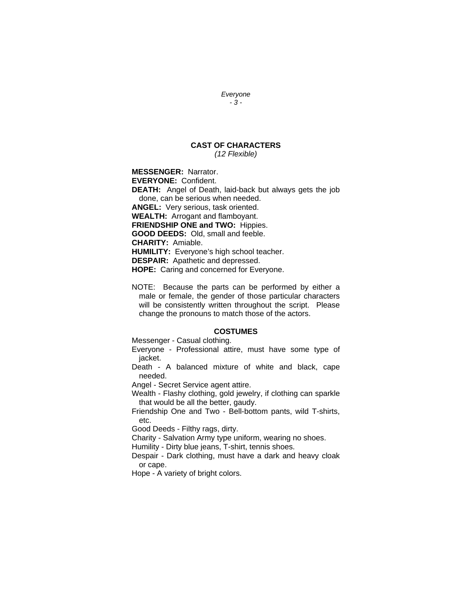#### *Everyone - 3 -*

#### **CAST OF CHARACTERS**  *(12 Flexible)*

**MESSENGER:** Narrator.

**EVERYONE:** Confident.

**DEATH:** Angel of Death, laid-back but always gets the job done, can be serious when needed.

**ANGEL:** Very serious, task oriented.

**WEALTH:** Arrogant and flamboyant.

**FRIENDSHIP ONE and TWO:** Hippies.

**GOOD DEEDS:** Old, small and feeble.

**CHARITY:** Amiable.

**HUMILITY:** Everyone's high school teacher.

**DESPAIR:** Apathetic and depressed.

**HOPE:** Caring and concerned for Everyone.

NOTE: Because the parts can be performed by either a male or female, the gender of those particular characters will be consistently written throughout the script. Please change the pronouns to match those of the actors.

### **COSTUMES**

Messenger - Casual clothing.

Everyone - Professional attire, must have some type of jacket.

Death - A balanced mixture of white and black, cape needed.

Angel - Secret Service agent attire.

Wealth - Flashy clothing, gold jewelry, if clothing can sparkle that would be all the better, gaudy.

Friendship One and Two - Bell-bottom pants, wild T-shirts, etc.

Good Deeds - Filthy rags, dirty.

Charity - Salvation Army type uniform, wearing no shoes.

Humility - Dirty blue jeans, T-shirt, tennis shoes.

Despair - Dark clothing, must have a dark and heavy cloak or cape.

Hope - A variety of bright colors.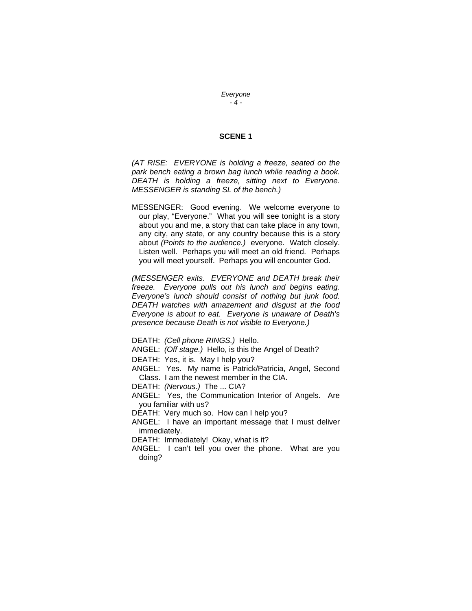*Everyone - 4 -* 

### **SCENE 1**

*(AT RISE: EVERYONE is holding a freeze, seated on the park bench eating a brown bag lunch while reading a book. DEATH is holding a freeze, sitting next to Everyone. MESSENGER is standing SL of the bench.)* 

MESSENGER: Good evening. We welcome everyone to our play, "Everyone." What you will see tonight is a story about you and me, a story that can take place in any town, any city, any state, or any country because this is a story about *(Points to the audience.)* everyone. Watch closely. Listen well. Perhaps you will meet an old friend. Perhaps you will meet yourself. Perhaps you will encounter God.

*(MESSENGER exits. EVERYONE and DEATH break their freeze. Everyone pulls out his lunch and begins eating. Everyone's lunch should consist of nothing but junk food. DEATH watches with amazement and disgust at the food Everyone is about to eat. Everyone is unaware of Death's presence because Death is not visible to Everyone.)*

- DEATH: *(Cell phone RINGS.)* Hello.
- ANGEL: *(Off stage.)* Hello, is this the Angel of Death?
- DEATH: Yes, it is. May I help you?
- ANGEL: Yes. My name is Patrick/Patricia, Angel, Second Class. I am the newest member in the CIA.
- DEATH: *(Nervous.)* The ... CIA?
- ANGEL: Yes, the Communication Interior of Angels. Are you familiar with us?
- DEATH: Very much so. How can I help you?
- ANGEL: I have an important message that I must deliver immediately.
- DEATH: Immediately! Okay, what is it?
- ANGEL: I can't tell you over the phone. What are you doing?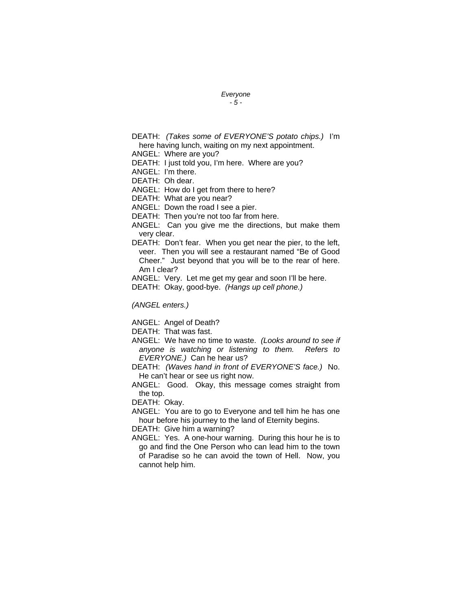### *Everyone*

#### *- 5 -*

DEATH: *(Takes some of EVERYONE'S potato chips.)* I'm here having lunch, waiting on my next appointment.

ANGEL: Where are you?

DEATH: I just told you, I'm here. Where are you?

ANGEL: I'm there.

DEATH: Oh dear.

ANGEL: How do I get from there to here?

DEATH: What are you near?

ANGEL: Down the road I see a pier.

DEATH: Then you're not too far from here.

ANGEL: Can you give me the directions, but make them very clear.

DEATH: Don't fear. When you get near the pier, to the left, veer. Then you will see a restaurant named "Be of Good Cheer." Just beyond that you will be to the rear of here. Am I clear?

ANGEL: Very. Let me get my gear and soon I'll be here.

DEATH: Okay, good-bye. *(Hangs up cell phone.)* 

*(ANGEL enters.)* 

ANGEL: Angel of Death?

DEATH: That was fast.

ANGEL: We have no time to waste. *(Looks around to see if anyone is watching or listening to them. Refers to EVERYONE.)* Can he hear us?

DEATH: *(Waves hand in front of EVERYONE'S face.)* No. He can't hear or see us right now.

ANGEL: Good. Okay, this message comes straight from the top.

DEATH: Okay.

ANGEL: You are to go to Everyone and tell him he has one hour before his journey to the land of Eternity begins.

DEATH: Give him a warning?

ANGEL: Yes. A one-hour warning. During this hour he is to go and find the One Person who can lead him to the town of Paradise so he can avoid the town of Hell. Now, you cannot help him.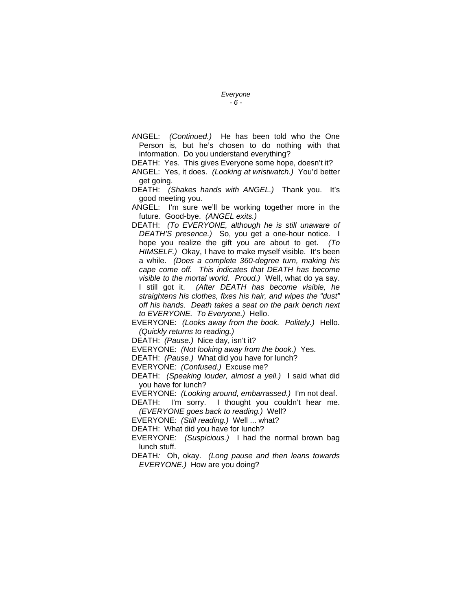# *Everyone*

# *- 6 -*

ANGEL: *(Continued.)* He has been told who the One Person is, but he's chosen to do nothing with that information. Do you understand everything?

DEATH: Yes. This gives Everyone some hope, doesn't it?

ANGEL: Yes, it does. *(Looking at wristwatch.)* You'd better get going.

DEATH: *(Shakes hands with ANGEL.)* Thank you. It's good meeting you.

ANGEL: I'm sure we'll be working together more in the future. Good-bye. *(ANGEL exits.)* 

DEATH: *(To EVERYONE, although he is still unaware of DEATH'S presence.)* So, you get a one-hour notice. I hope you realize the gift you are about to get. *(To HIMSELF.)* Okay, I have to make myself visible. It's been a while. *(Does a complete 360-degree turn, making his cape come off. This indicates that DEATH has become visible to the mortal world. Proud.)* Well, what do ya say. I still got it. *(After DEATH has become visible, he straightens his clothes, fixes his hair, and wipes the "dust" off his hands. Death takes a seat on the park bench next to EVERYONE. To Everyone.)* Hello.

EVERYONE: *(Looks away from the book. Politely.)* Hello. *(Quickly returns to reading.)* 

DEATH: *(Pause.)* Nice day, isn't it?

EVERYONE: *(Not looking away from the book.)* Yes.

DEATH: *(Pause.)* What did you have for lunch?

EVERYONE: *(Confused.)* Excuse me?

DEATH: *(Speaking louder, almost a yell.)* I said what did you have for lunch?

EVERYONE: *(Looking around, embarrassed.)* I'm not deaf.

DEATH: I'm sorry. I thought you couldn't hear me. *(EVERYONE goes back to reading.)* Well?

EVERYONE: *(Still reading.)* Well ... what?

DEATH: What did you have for lunch?

EVERYONE: *(Suspicious.)* I had the normal brown bag lunch stuff.

DEATH*:* Oh, okay. *(Long pause and then leans towards EVERYONE.)* How are you doing?